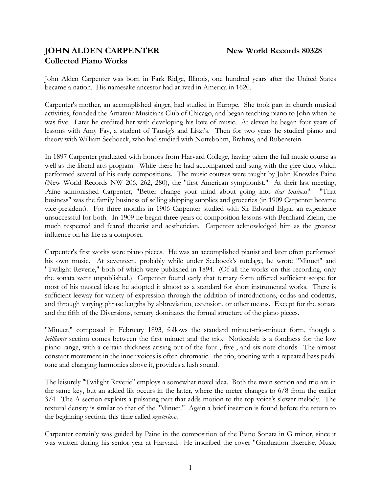# **JOHN ALDEN CARPENTER** New World Records 80328 **Collected Piano Works**

John Alden Carpenter was born in Park Ridge, Illinois, one hundred years after the United States became a nation. His namesake ancestor had arrived in America in 1620.

Carpenter's mother, an accomplished singer, had studied in Europe. She took part in church musical activities, founded the Amateur Musicians Club of Chicago, and began teaching piano to John when he was five. Later he credited her with developing his love of music. At eleven he began four years of lessons with Amy Fay, a student of Tausig's and Liszt's. Then for two years he studied piano and theory with William Seeboeck, who had studied with Nottebohm, Brahms, and Rubenstein.

In 1897 Carpenter graduated with honors from Harvard College, having taken the full music course as well as the liberal-arts program. While there he had accompanied and sung with the glee club, which performed several of his early compositions. The music courses were taught by John Knowles Paine (New World Records NW 206, 262, 280), the "first American symphonist." At their last meeting, Paine admonished Carpenter, "Better change your mind about going into *that business*!" "That business" was the family business of selling shipping supplies and groceries (in 1909 Carpenter became vice-president). For three months in 1906 Carpenter studied with Sir Edward Elgar, an experience unsuccessful for both. In 1909 he began three years of composition lessons with Bernhard Ziehn, the much respected and feared theorist and aesthetician. Carpenter acknowledged him as the greatest influence on his life as a composer.

Carpenter's first works were piano pieces. He was an accomplished pianist and later often performed his own music. At seventeen, probably while under Seeboeck's tutelage, he wrote "Minuet" and "Twilight Reverie," both of which were published in 1894. (Of all the works on this recording, only the sonata went unpublished.) Carpenter found early that ternary form offered sufficient scope for most of his musical ideas; he adopted it almost as a standard for short instrumental works. There is sufficient leeway for variety of expression through the addition of introductions, codas and codettas, and through varying phrase lengths by abbreviation, extension, or other means. Except for the sonata and the fifth of the Diversions, ternary dominates the formal structure of the piano pieces.

"Minuet," composed in February 1893, follows the standard minuet-trio-minuet form, though a *brilliante* section comes between the first minuet and the trio. Noticeable is a fondness for the low piano range, with a certain thickness arising out of the four-, five-, and six-note chords. The almost constant movement in the inner voices is often chromatic. the trio, opening with a repeated bass pedal tone and changing harmonies above it, provides a lush sound.

The leisurely "Twilight Reverie" employs a somewhat novel idea. Both the main section and trio are in the same key, but an added lilt occurs in the latter, where the meter changes to 6/8 from the earlier 3/4. The A section exploits a pulsating part that adds motion to the top voice's slower melody. The textural density is similar to that of the "Minuet." Again a brief insertion is found before the return to the beginning section, this time called *mysterioso*.

Carpenter certainly was guided by Paine in the composition of the Piano Sonata in G minor, since it was written during his senior year at Harvard. He inscribed the cover "Graduation Exercise, Music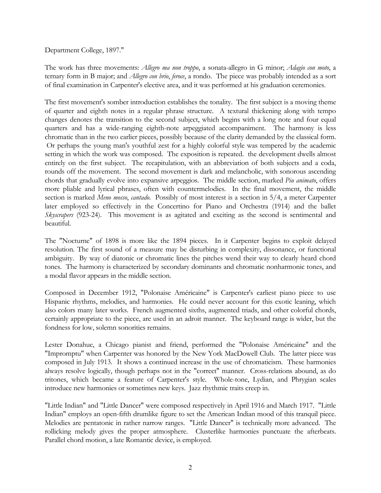### Department College, 1897."

The work has three movements: *Allegro ma non troppo*, a sonata-allegro in G minor; *Adagio con moto*, a ternary form in B major; and *Allegro con brio*, *feroce*, a rondo. The piece was probably intended as a sort of final examination in Carpenter's elective area, and it was performed at his graduation ceremonies.

The first movement's somber introduction establishes the tonality. The first subject is a moving theme of quarter and eighth notes in a regular phrase structure. A textural thickening along with tempo changes denotes the transition to the second subject, which begins with a long note and four equal quarters and has a wide-ranging eighth-note arpeggiated accompaniment. The harmony is less chromatic than in the two earlier pieces, possibly because of the clarity demanded by the classical form. Or perhaps the young man's youthful zest for a highly colorful style was tempered by the academic setting in which the work was composed. The exposition is repeated. the development dwells almost entirely on the first subject. The recapitulation, with an abbreviation of both subjects and a coda, rounds off the movement. The second movement is dark and melancholic, with sonorous ascending chords that gradually evolve into expansive arpeggios. The middle section, marked *Piu animato*, offers more pliable and lyrical phrases, often with countermelodies. In the final movement, the middle section is marked *Meno mosso*, *cantado*. Possibly of most interest is a section in 5/4, a meter Carpenter later employed so effectively in the Concertino for Piano and Orchestra (1914) and the ballet *Skyscrapers* (923-24). This movement is as agitated and exciting as the second is sentimental and beautiful.

The "Nocturne" of 1898 is more like the 1894 pieces. In it Carpenter begins to exploit delayed resolution. The first sound of a measure may be disturbing in complexity, dissonance, or functional ambiguity. By way of diatonic or chromatic lines the pitches wend their way to clearly heard chord tones. The harmony is characterized by secondary dominants and chromatic nonharmonic tones, and a modal flavor appears in the middle section.

Composed in December 1912, "Polonaise Américaine" is Carpenter's earliest piano piece to use Hispanic rhythms, melodies, and harmonies. He could never account for this exotic leaning, which also colors many later works. French augmented sixths, augmented triads, and other colorful chords, certainly appropriate to the piece, are used in an adroit manner. The keyboard range is wider, but the fondness for low, solemn sonorities remains.

Lester Donahue, a Chicago pianist and friend, performed the "Polonaise Américaine" and the "Impromptu" when Carpenter was honored by the New York MacDowell Club. The latter piece was composed in July 1913. It shows a continued increase in the use of chromaticism. These harmonies always resolve logically, though perhaps not in the "correct" manner. Cross-relations abound, as do tritones, which became a feature of Carpenter's style. Whole-tone, Lydian, and Phrygian scales introduce new harmonies or sometimes new keys. Jazz rhythmic traits creep in.

"Little Indian" and "Little Dancer" were composed respectively in April 1916 and March 1917. "Little Indian" employs an open-fifth drumlike figure to set the American Indian mood of this tranquil piece. Melodies are pentatonic in rather narrow ranges. "Little Dancer" is technically more advanced. The rollicking melody gives the proper atmosphere. Clusterlike harmonies punctuate the afterbeats. Parallel chord motion, a late Romantic device, is employed.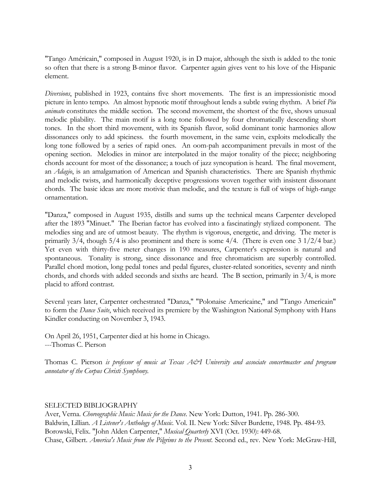"Tango Américain," composed in August 1920, is in D major, although the sixth is added to the tonic so often that there is a strong B-minor flavor. Carpenter again gives vent to his love of the Hispanic element.

*Diversions*, published in 1923, contains five short movements. The first is an impressionistic mood picture in lento tempo. An almost hypnotic motif throughout lends a subtle swing rhythm. A brief *Piu animato* constitutes the middle section. The second movement, the shortest of the five, shows unusual melodic pliability. The main motif is a long tone followed by four chromatically descending short tones. In the short third movement, with its Spanish flavor, solid dominant tonic harmonies allow dissonances only to add spiciness. the fourth movement, in the same vein, exploits melodically the long tone followed by a series of rapid ones. An oom-pah accompaniment prevails in most of the opening section. Melodies in minor are interpolated in the major tonality of the piece; neighboring chords account for most of the dissonance; a touch of jazz syncopation is heard. The final movement, an *Adagio*, is an amalgamation of American and Spanish characteristics. There are Spanish rhythmic and melodic twists, and harmonically deceptive progressions woven together with insistent dissonant chords. The basic ideas are more motivic than melodic, and the texture is full of wisps of high-range ornamentation.

"Danza," composed in August 1935, distills and sums up the technical means Carpenter developed after the 1893 "Minuet." The Iberian factor has evolved into a fascinatingly stylized component. The melodies sing and are of utmost beauty. The rhythm is vigorous, energetic, and driving. The meter is primarily  $3/4$ , though  $5/4$  is also prominent and there is some  $4/4$ . (There is even one  $3 \frac{1}{2}/4$  bar.) Yet even with thirty-five meter changes in 190 measures, Carpenter's expression is natural and spontaneous. Tonality is strong, since dissonance and free chromaticism are superbly controlled. Parallel chord motion, long pedal tones and pedal figures, cluster-related sonorities, seventy and ninth chords, and chords with added seconds and sixths are heard. The B section, primarily in 3/4, is more placid to afford contrast.

Several years later, Carpenter orchestrated "Danza," "Polonaise Americaine," and "Tango Americain" to form the *Dance Suite*, which received its premiere by the Washington National Symphony with Hans Kindler conducting on November 3, 1943.

On April 26, 1951, Carpenter died at his home in Chicago. ---Thomas C. Pierson

Thomas C. Pierson *is professor of music at Texas A&I University and associate concertmaster and program annotator of the Corpus Christi Symphony.* 

## SELECTED BIBLIOGRAPHY

Aver, Verna. *Choreographic Music: Music for the Dance*. New York: Dutton, 1941. Pp. 286-300. Baldwin, Lillian. *A Listener's Anthology of Music*. Vol. II. New York: Silver Burdette, 1948. Pp. 484-93. Borowski, Felix. "John Alden Carpenter," *Musical Quarterly* XVI (Oct. 1930): 449-68. Chase, Gilbert. *America's Music from the Pilgrims to the Present*. Second ed., rev. New York: McGraw-Hill,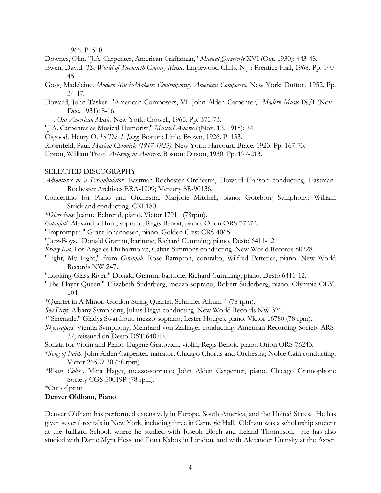1966. P. 510.

- Downes, Olin. "J.A. Carpenter, American Craftsman," *Musical Quarterly* XVI (Oct. 1930): 443-48.
- Ewen, David. *The World of Twentieth Century Music*. Englewood Cliffs, N.J.: Prentice-Hall, 1968. Pp. 140- 45.
- Goss, Madeleine. *Modern Music-Makers: Contemporary American Composers*. New York: Dutton, 1952. Pp. 34-47.
- Howard, John Tasker. "American Composers, VI. John Alden Carpenter," *Modern Music* IX/I (Nov.- Dec. 1931): 8-16.
- ----. *Our American Music*. New York: Crowell, 1965. Pp. 371-73.
- "J.A. Carpenter as Musical Humorist," *Musical America* (Nov. 13, 1915): 34.
- Osgood, Henry O. *So This Is Jazz*. Boston: Little, Brown, 1926. P. 153.
- Rosenfeld, Paul. *Musical Chronicle (1917-1923)*. New York: Harcourt, Brace, 1923. Pp. 167-73.

Upton, William Treat. *Art-song in America*. Boston: Ditson, 1930. Pp. 197-213.

#### SELECTED DISCOGRAPHY

- *Adventures in a Perambulator*. Eastman-Rochester Orchestra, Howard Hanson conducting. Eastman-Rochester Archives ERA-1009; Mercury SR-90136.
- Concertino for Piano and Orchestra. Marjorie Mitchell, piano; Goteborg Symphony; William Strickland conducting. CRI 180.

\**Diversions*. Jeanne Behrend, piano. Victor 17911 (78rpm).

*Gitanjali*. Alexandra Hunt, soprano; Regis Benoit, piano. Orion ORS-77272.

"Impromptu." Grant Johannesen, piano. Golden Crest CRS-4065.

"Jazz-Boys." Donald Gramm, baritone; Richard Cumming, piano. Desto 6411-12.

*Krazy Kat*. Los Angeles Philharmonic, Calvin Simmons conducting. New World Records 80228.

- "Light, My Light," from *Gitanjali*. Rose Bampton, contralto; Wilfred Pettetier, piano. New World Records NW 247.
- "Looking-Glass River." Donald Gramm, baritone; Richard Cumming, piano. Desto 6411-12.
- "The Player Queen." Elizabeth Suderberg, mezzo-soprano; Robert Suderberg, piano. Olympic OLY-104.

\*Quartet in A Minor. Gordon String Quartet. Schirmer Album 4 (78 rpm).

- *Sea Drift*. Albany Symphony, Julius Hegyi conducting. New World Records NW 321.
- \*"Serenade." Gladys Swarthout, mezzo-soprano; Lester Hodges, piano. Victor 16780 (78 rpm).
- *Skyscrapers*. Vienna Symphony, Meinhard von Zallinger conducting. American Recording Society ARS-37; reissued on Desto DST-6407E.
- Sonata for Violin and Piano. Eugene Gratovich, violin; Regis Benoit, piano. Orion ORS-76243.
- *\*Song of Faith*. John Alden Carpenter, narrator; Chicago Chorus and Orchestra; Noble Cain conducting. Victor 26529-30 (78 rpm).
- *\*Water Colors*. Mina Hager, mezzo-soprano; John Alden Carpenter, piano. Chicago Gramophone Society CGS-50019P (78 rpm).

\*Out of print

#### **Denver Oldham, Piano**

Denver Oldham has performed extensively in Europe, South America, and the United States. He has given several recitals in New York, including three in Carnegie Hall. Oldham was a scholarship student at the Juilliard School, where he studied with Joseph Bloch and Leland Thompson. He has also studied with Dame Myra Hess and Ilona Kabos in London, and with Alexander Uninsky at the Aspen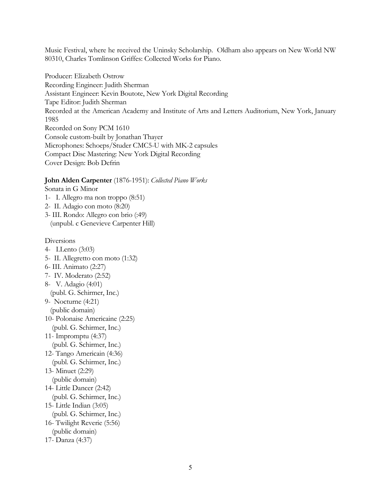Music Festival, where he received the Uninsky Scholarship. Oldham also appears on New World NW 80310, Charles Tomlinson Griffes: Collected Works for Piano.

Producer: Elizabeth Ostrow Recording Engineer: Judith Sherman Assistant Engineer: Kevin Boutote, New York Digital Recording Tape Editor: Judith Sherman Recorded at the American Academy and Institute of Arts and Letters Auditorium, New York, January 1985 Recorded on Sony PCM 1610 Console custom-built by Jonathan Thayer Microphones: Schoeps/Studer CMC5-U with MK-2 capsules Compact Disc Mastering: New York Digital Recording Cover Design: Bob Defrin

#### **John Alden Carpenter** (1876-1951): *Collected Piano Works*

Sonata in G Minor 1- I. Allegro ma non troppo (8:51)

2- II. Adagio con moto (8:20)

3- III. Rondo: Allegro con brio (:49) (unpubl. c Genevieve Carpenter Hill)

#### Diversions

- 4- I.Lento (3:03)
- 5- II. Allegretto con moto (1:32)
- 6- III. Animato (2:27)
- 7- IV. Moderato (2:52)
- 8- V. Adagio (4:01)
	- (publ. G. Schirmer, Inc.)
- 9- Nocturne (4:21)
	- (public domain)
- 10- Polonaise Americaine (2:25) (publ. G. Schirmer, Inc.)
- 11- Impromptu (4:37)
- (publ. G. Schirmer, Inc.)
- 12- Tango Americain (4:36)
- (publ. G. Schirmer, Inc.)
- 13- Minuet (2:29)
- (public domain)
- 14- Little Dancer (2:42)
- (publ. G. Schirmer, Inc.)
- 15- Little Indian (3:05) (publ. G. Schirmer, Inc.)
- 16- Twilight Reverie (5:56)
- (public domain)
- 17- Danza (4:37)